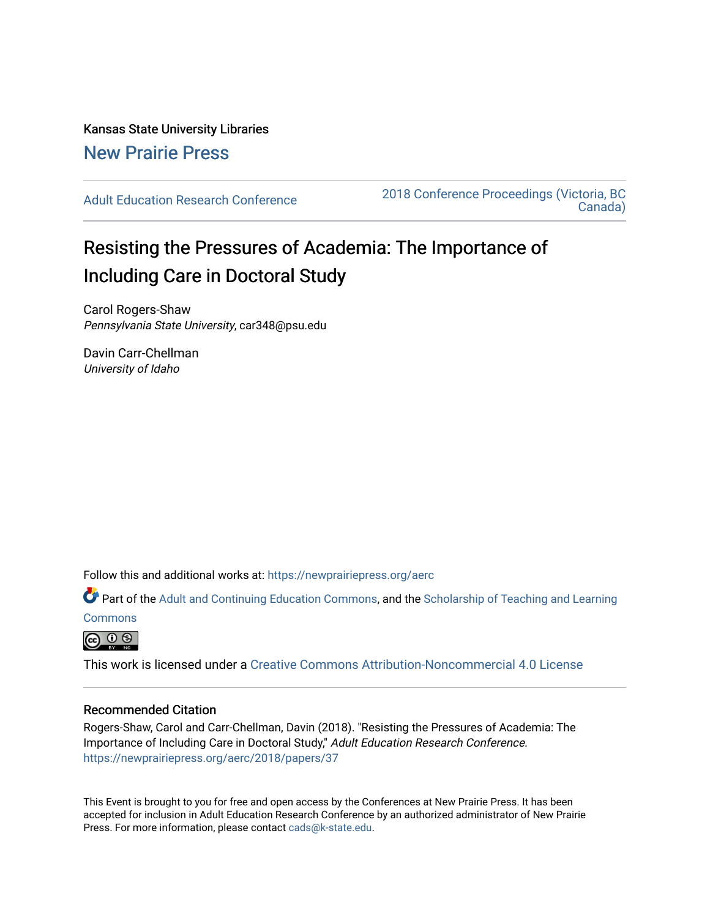Kansas State University Libraries [New Prairie Press](https://newprairiepress.org/) 

[Adult Education Research Conference](https://newprairiepress.org/aerc) [2018 Conference Proceedings \(Victoria, BC](https://newprairiepress.org/aerc/2018)  [Canada\)](https://newprairiepress.org/aerc/2018) 

# Resisting the Pressures of Academia: The Importance of Including Care in Doctoral Study

Carol Rogers-Shaw Pennsylvania State University, car348@psu.edu

Davin Carr-Chellman University of Idaho

Follow this and additional works at: [https://newprairiepress.org/aerc](https://newprairiepress.org/aerc?utm_source=newprairiepress.org%2Faerc%2F2018%2Fpapers%2F37&utm_medium=PDF&utm_campaign=PDFCoverPages)

Part of the [Adult and Continuing Education Commons,](http://network.bepress.com/hgg/discipline/1375?utm_source=newprairiepress.org%2Faerc%2F2018%2Fpapers%2F37&utm_medium=PDF&utm_campaign=PDFCoverPages) and the Scholarship of Teaching and Learning **[Commons](http://network.bepress.com/hgg/discipline/1328?utm_source=newprairiepress.org%2Faerc%2F2018%2Fpapers%2F37&utm_medium=PDF&utm_campaign=PDFCoverPages)** 



This work is licensed under a [Creative Commons Attribution-Noncommercial 4.0 License](https://creativecommons.org/licenses/by-nc/4.0/)

### Recommended Citation

Rogers-Shaw, Carol and Carr-Chellman, Davin (2018). "Resisting the Pressures of Academia: The Importance of Including Care in Doctoral Study," Adult Education Research Conference. <https://newprairiepress.org/aerc/2018/papers/37>

This Event is brought to you for free and open access by the Conferences at New Prairie Press. It has been accepted for inclusion in Adult Education Research Conference by an authorized administrator of New Prairie Press. For more information, please contact [cads@k-state.edu.](mailto:cads@k-state.edu)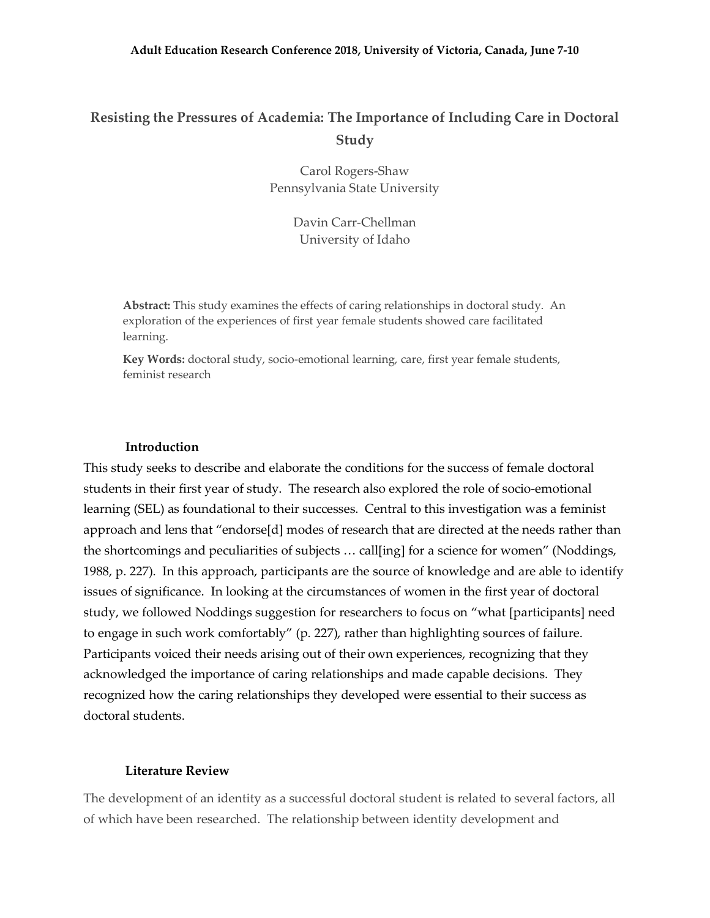## **Resisting the Pressures of Academia: The Importance of Including Care in Doctoral Study**

Carol Rogers-Shaw Pennsylvania State University

> Davin Carr-Chellman University of Idaho

**Abstract:** This study examines the effects of caring relationships in doctoral study. An exploration of the experiences of first year female students showed care facilitated learning.

**Key Words:** doctoral study, socio-emotional learning, care, first year female students, feminist research

#### **Introduction**

This study seeks to describe and elaborate the conditions for the success of female doctoral students in their first year of study. The research also explored the role of socio-emotional learning (SEL) as foundational to their successes. Central to this investigation was a feminist approach and lens that "endorse[d] modes of research that are directed at the needs rather than the shortcomings and peculiarities of subjects … call[ing] for a science for women" (Noddings, 1988, p. 227). In this approach, participants are the source of knowledge and are able to identify issues of significance. In looking at the circumstances of women in the first year of doctoral study, we followed Noddings suggestion for researchers to focus on "what [participants] need to engage in such work comfortably" (p. 227), rather than highlighting sources of failure. Participants voiced their needs arising out of their own experiences, recognizing that they acknowledged the importance of caring relationships and made capable decisions. They recognized how the caring relationships they developed were essential to their success as doctoral students.

### **Literature Review**

The development of an identity as a successful doctoral student is related to several factors, all of which have been researched. The relationship between identity development and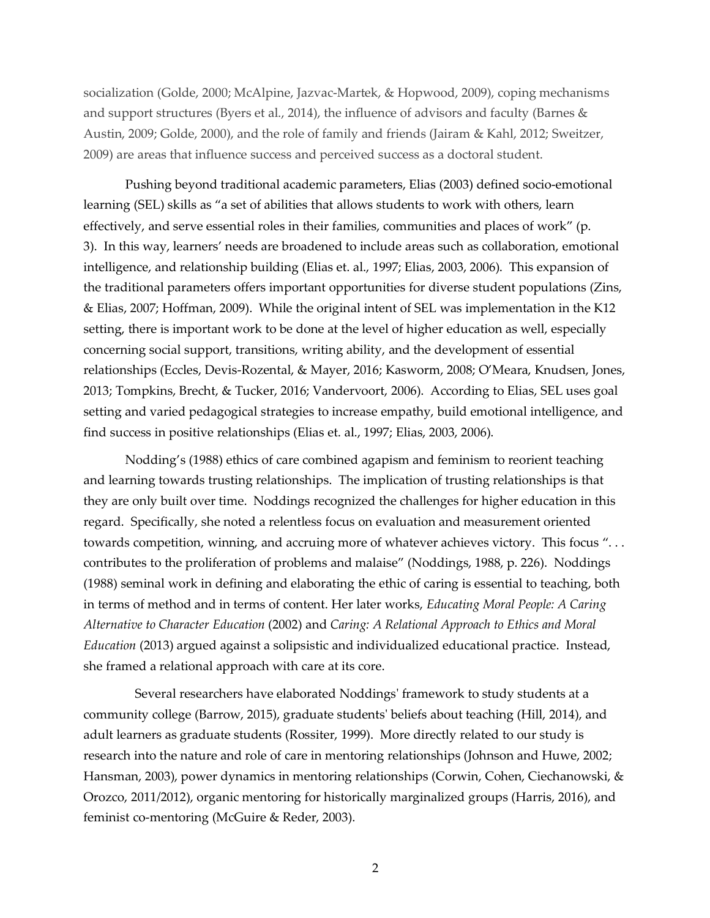socialization (Golde, 2000; McAlpine, Jazvac-Martek, & Hopwood, 2009), coping mechanisms and support structures (Byers et al., 2014), the influence of advisors and faculty (Barnes & Austin, 2009; Golde, 2000), and the role of family and friends (Jairam & Kahl, 2012; Sweitzer, 2009) are areas that influence success and perceived success as a doctoral student.

Pushing beyond traditional academic parameters, Elias (2003) defined socio-emotional learning (SEL) skills as "a set of abilities that allows students to work with others, learn effectively, and serve essential roles in their families, communities and places of work" (p. 3). In this way, learners' needs are broadened to include areas such as collaboration, emotional intelligence, and relationship building (Elias et. al., 1997; Elias, 2003, 2006). This expansion of the traditional parameters offers important opportunities for diverse student populations (Zins, & Elias, 2007; Hoffman, 2009). While the original intent of SEL was implementation in the K12 setting, there is important work to be done at the level of higher education as well, especially concerning social support, transitions, writing ability, and the development of essential relationships (Eccles, Devis-Rozental, & Mayer, 2016; Kasworm, 2008; O'Meara, Knudsen, Jones, 2013; Tompkins, Brecht, & Tucker, 2016; Vandervoort, 2006). According to Elias, SEL uses goal setting and varied pedagogical strategies to increase empathy, build emotional intelligence, and find success in positive relationships (Elias et. al., 1997; Elias, 2003, 2006).

Nodding's (1988) ethics of care combined agapism and feminism to reorient teaching and learning towards trusting relationships. The implication of trusting relationships is that they are only built over time. Noddings recognized the challenges for higher education in this regard. Specifically, she noted a relentless focus on evaluation and measurement oriented towards competition, winning, and accruing more of whatever achieves victory. This focus "... contributes to the proliferation of problems and malaise" (Noddings, 1988, p. 226). Noddings (1988) seminal work in defining and elaborating the ethic of caring is essential to teaching, both in terms of method and in terms of content. Her later works, *Educating Moral People: A Caring Alternative to Character Education* (2002) and *Caring: A Relational Approach to Ethics and Moral Education* (2013) argued against a solipsistic and individualized educational practice. Instead, she framed a relational approach with care at its core.

 Several researchers have elaborated Noddings' framework to study students at a community college (Barrow, 2015), graduate students' beliefs about teaching (Hill, 2014), and adult learners as graduate students (Rossiter, 1999). More directly related to our study is research into the nature and role of care in mentoring relationships (Johnson and Huwe, 2002; Hansman, 2003), power dynamics in mentoring relationships (Corwin, Cohen, Ciechanowski, & Orozco, 2011/2012), organic mentoring for historically marginalized groups (Harris, 2016), and feminist co-mentoring (McGuire & Reder, 2003).

2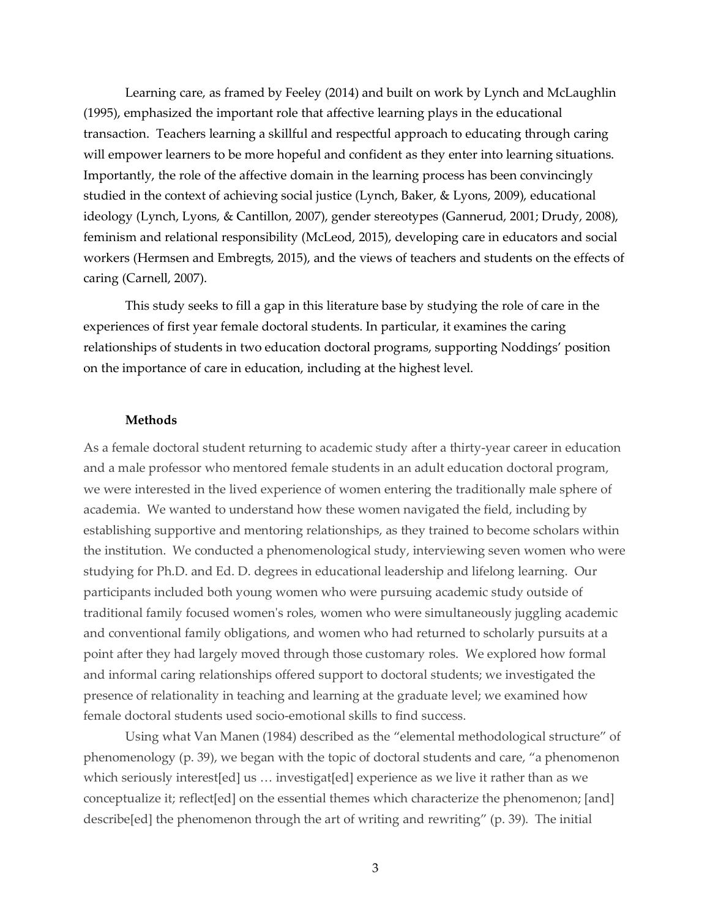Learning care, as framed by Feeley (2014) and built on work by Lynch and McLaughlin (1995), emphasized the important role that affective learning plays in the educational transaction. Teachers learning a skillful and respectful approach to educating through caring will empower learners to be more hopeful and confident as they enter into learning situations. Importantly, the role of the affective domain in the learning process has been convincingly studied in the context of achieving social justice (Lynch, Baker, & Lyons, 2009), educational ideology (Lynch, Lyons, & Cantillon, 2007), gender stereotypes (Gannerud, 2001; Drudy, 2008), feminism and relational responsibility (McLeod, 2015), developing care in educators and social workers (Hermsen and Embregts, 2015), and the views of teachers and students on the effects of caring (Carnell, 2007).

This study seeks to fill a gap in this literature base by studying the role of care in the experiences of first year female doctoral students. In particular, it examines the caring relationships of students in two education doctoral programs, supporting Noddings' position on the importance of care in education, including at the highest level.

#### **Methods**

As a female doctoral student returning to academic study after a thirty-year career in education and a male professor who mentored female students in an adult education doctoral program, we were interested in the lived experience of women entering the traditionally male sphere of academia. We wanted to understand how these women navigated the field, including by establishing supportive and mentoring relationships, as they trained to become scholars within the institution. We conducted a phenomenological study, interviewing seven women who were studying for Ph.D. and Ed. D. degrees in educational leadership and lifelong learning. Our participants included both young women who were pursuing academic study outside of traditional family focused women's roles, women who were simultaneously juggling academic and conventional family obligations, and women who had returned to scholarly pursuits at a point after they had largely moved through those customary roles. We explored how formal and informal caring relationships offered support to doctoral students; we investigated the presence of relationality in teaching and learning at the graduate level; we examined how female doctoral students used socio-emotional skills to find success.

Using what Van Manen (1984) described as the "elemental methodological structure" of phenomenology (p. 39), we began with the topic of doctoral students and care, "a phenomenon which seriously interest[ed] us ... investigat[ed] experience as we live it rather than as we conceptualize it; reflect[ed] on the essential themes which characterize the phenomenon; [and] describe[ed] the phenomenon through the art of writing and rewriting" (p. 39). The initial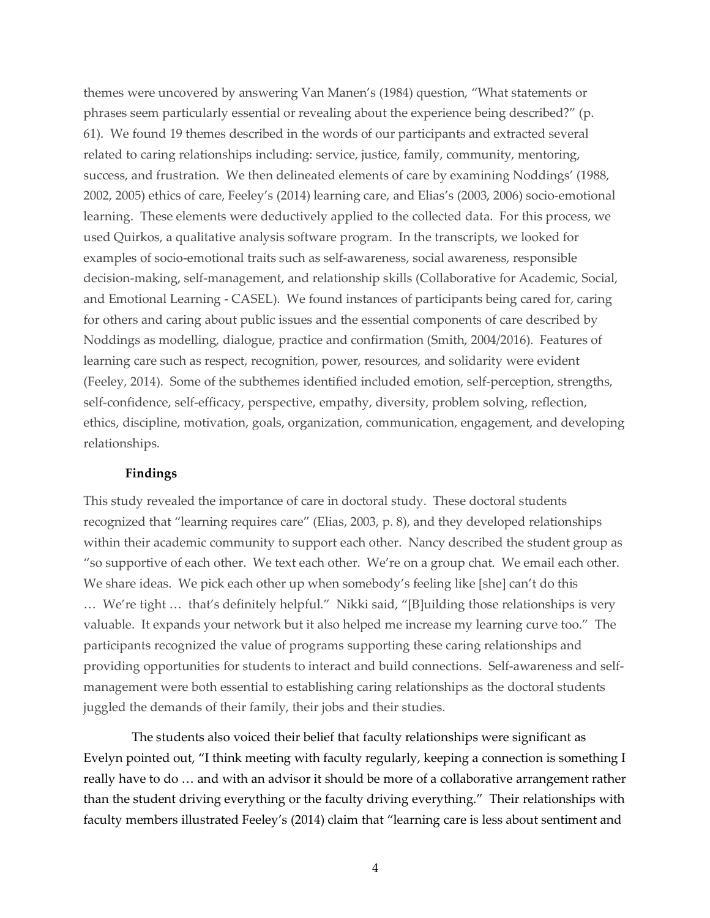themes were uncovered by answering Van Manen's (1984) question, "What statements or phrases seem particularly essential or revealing about the experience being described?" (p. 61). We found 19 themes described in the words of our participants and extracted several related to caring relationships including: service, justice, family, community, mentoring, success, and frustration. We then delineated elements of care by examining Noddings' (1988, 2002, 2005) ethics of care, Feeley's (2014) learning care, and Elias's (2003, 2006) socio-emotional learning. These elements were deductively applied to the collected data. For this process, we used Quirkos, a qualitative analysis software program. In the transcripts, we looked for examples of socio-emotional traits such as self-awareness, social awareness, responsible decision-making, self-management, and relationship skills (Collaborative for Academic, Social, and Emotional Learning - CASEL). We found instances of participants being cared for, caring for others and caring about public issues and the essential components of care described by Noddings as modelling, dialogue, practice and confirmation (Smith, 2004/2016). Features of learning care such as respect, recognition, power, resources, and solidarity were evident (Feeley, 2014). Some of the subthemes identified included emotion, self-perception, strengths, self-confidence, self-efficacy, perspective, empathy, diversity, problem solving, reflection, ethics, discipline, motivation, goals, organization, communication, engagement, and developing relationships.

#### **Findings**

This study revealed the importance of care in doctoral study. These doctoral students recognized that "learning requires care" (Elias, 2003, p. 8), and they developed relationships within their academic community to support each other. Nancy described the student group as "so supportive of each other. We text each other. We're on a group chat. We email each other. We share ideas. We pick each other up when somebody's feeling like [she] can't do this … We're tight … that's definitely helpful." Nikki said, "[B]uilding those relationships is very valuable. It expands your network but it also helped me increase my learning curve too." The participants recognized the value of programs supporting these caring relationships and providing opportunities for students to interact and build connections. Self-awareness and selfmanagement were both essential to establishing caring relationships as the doctoral students juggled the demands of their family, their jobs and their studies.

The students also voiced their belief that faculty relationships were significant as Evelyn pointed out, "I think meeting with faculty regularly, keeping a connection is something I really have to do … and with an advisor it should be more of a collaborative arrangement rather than the student driving everything or the faculty driving everything." Their relationships with faculty members illustrated Feeley's (2014) claim that "learning care is less about sentiment and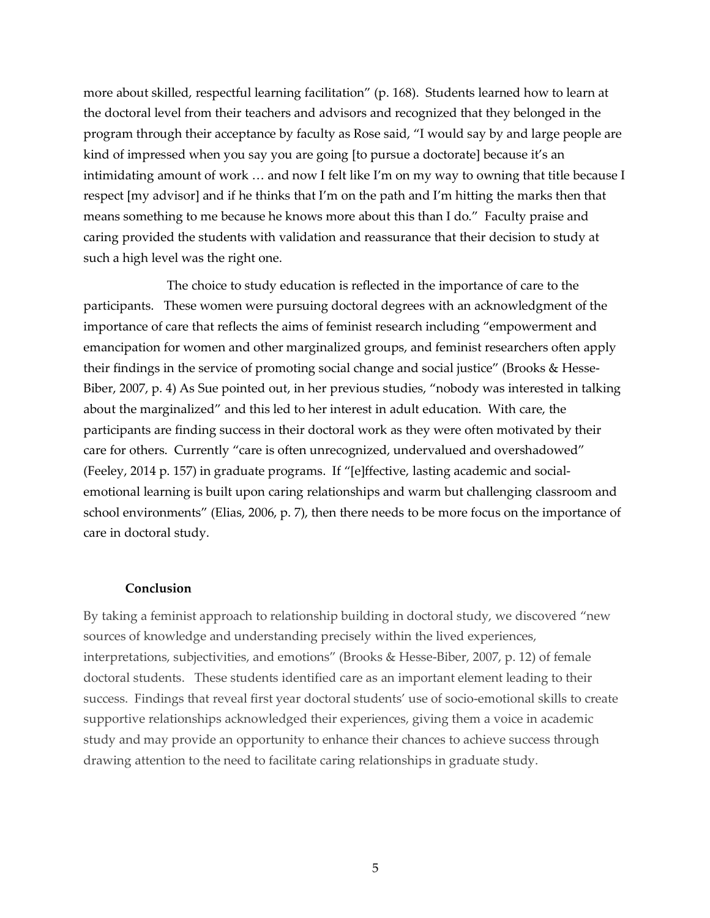more about skilled, respectful learning facilitation" (p. 168). Students learned how to learn at the doctoral level from their teachers and advisors and recognized that they belonged in the program through their acceptance by faculty as Rose said, "I would say by and large people are kind of impressed when you say you are going [to pursue a doctorate] because it's an intimidating amount of work … and now I felt like I'm on my way to owning that title because I respect [my advisor] and if he thinks that I'm on the path and I'm hitting the marks then that means something to me because he knows more about this than I do." Faculty praise and caring provided the students with validation and reassurance that their decision to study at such a high level was the right one.

 The choice to study education is reflected in the importance of care to the participants. These women were pursuing doctoral degrees with an acknowledgment of the importance of care that reflects the aims of feminist research including "empowerment and emancipation for women and other marginalized groups, and feminist researchers often apply their findings in the service of promoting social change and social justice" (Brooks & Hesse-Biber, 2007, p. 4) As Sue pointed out, in her previous studies, "nobody was interested in talking about the marginalized" and this led to her interest in adult education. With care, the participants are finding success in their doctoral work as they were often motivated by their care for others. Currently "care is often unrecognized, undervalued and overshadowed" (Feeley, 2014 p. 157) in graduate programs. If "[e]ffective, lasting academic and socialemotional learning is built upon caring relationships and warm but challenging classroom and school environments" (Elias, 2006, p. 7), then there needs to be more focus on the importance of care in doctoral study.

#### **Conclusion**

By taking a feminist approach to relationship building in doctoral study, we discovered "new sources of knowledge and understanding precisely within the lived experiences, interpretations, subjectivities, and emotions" (Brooks & Hesse-Biber, 2007, p. 12) of female doctoral students. These students identified care as an important element leading to their success. Findings that reveal first year doctoral students' use of socio-emotional skills to create supportive relationships acknowledged their experiences, giving them a voice in academic study and may provide an opportunity to enhance their chances to achieve success through drawing attention to the need to facilitate caring relationships in graduate study.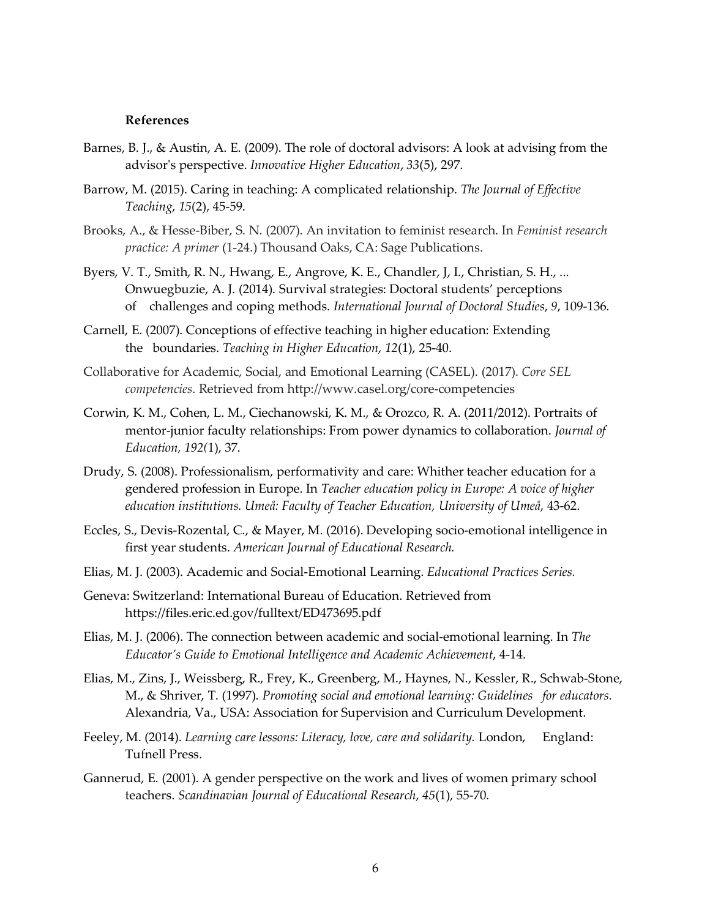#### **References**

- Barnes, B. J., & Austin, A. E. (2009). The role of doctoral advisors: A look at advising from the advisor's perspective. *Innovative Higher Education*, *33*(5), 297.
- Barrow, M. (2015). Caring in teaching: A complicated relationship. *The Journal of Effective Teaching*, *15*(2), 45-59.
- Brooks, A., & Hesse-Biber, S. N. (2007). An invitation to feminist research. In *Feminist research practice: A primer* (1-24.) Thousand Oaks, CA: Sage Publications.
- Byers, V. T., Smith, R. N., Hwang, E., Angrove, K. E., Chandler, J, I., Christian, S. H., ... Onwuegbuzie, A. J. (2014). Survival strategies: Doctoral students' perceptions of challenges and coping methods. *International Journal of Doctoral Studies*, *9*, 109-136.
- Carnell, E. (2007). Conceptions of effective teaching in higher education: Extending the boundaries. *Teaching in Higher Education*, *12*(1), 25-40.
- Collaborative for Academic, Social, and Emotional Learning (CASEL). (2017). *Core SEL competencies*. Retrieved from http://www.casel.org/core-competencies
- Corwin, K. M., Cohen, L. M., Ciechanowski, K. M., & Orozco, R. A. (2011/2012). Portraits of mentor-junior faculty relationships: From power dynamics to collaboration. *Journal of Education, 192(*1), 37.
- Drudy, S. (2008). Professionalism, performativity and care: Whither teacher education for a gendered profession in Europe. In *Teacher education policy in Europe: A voice of higher education institutions. Umeå: Faculty of Teacher Education, University of Umeå*, 43-62.
- Eccles, S., Devis-Rozental, C., & Mayer, M. (2016). Developing socio-emotional intelligence in first year students. *American Journal of Educational Research.*
- Elias, M. J. (2003). Academic and Social-Emotional Learning. *Educational Practices Series.*
- Geneva: Switzerland: International Bureau of Education. Retrieved from https://files.eric.ed.gov/fulltext/ED473695.pdf
- Elias, M. J. (2006). The connection between academic and social-emotional learning. In *The Educator's Guide to Emotional Intelligence and Academic Achievement*, 4-14.
- Elias, M., Zins, J., Weissberg, R., Frey, K., Greenberg, M., Haynes, N., Kessler, R., Schwab-Stone, M., & Shriver, T. (1997). *Promoting social and emotional learning: Guidelines for educators.* Alexandria, Va., USA: Association for Supervision and Curriculum Development.
- Feeley, M. (2014). *Learning care lessons: Literacy, love, care and solidarity.* London, England: Tufnell Press.
- Gannerud, E. (2001). A gender perspective on the work and lives of women primary school teachers. *Scandinavian Journal of Educational Research*, *45*(1), 55-70.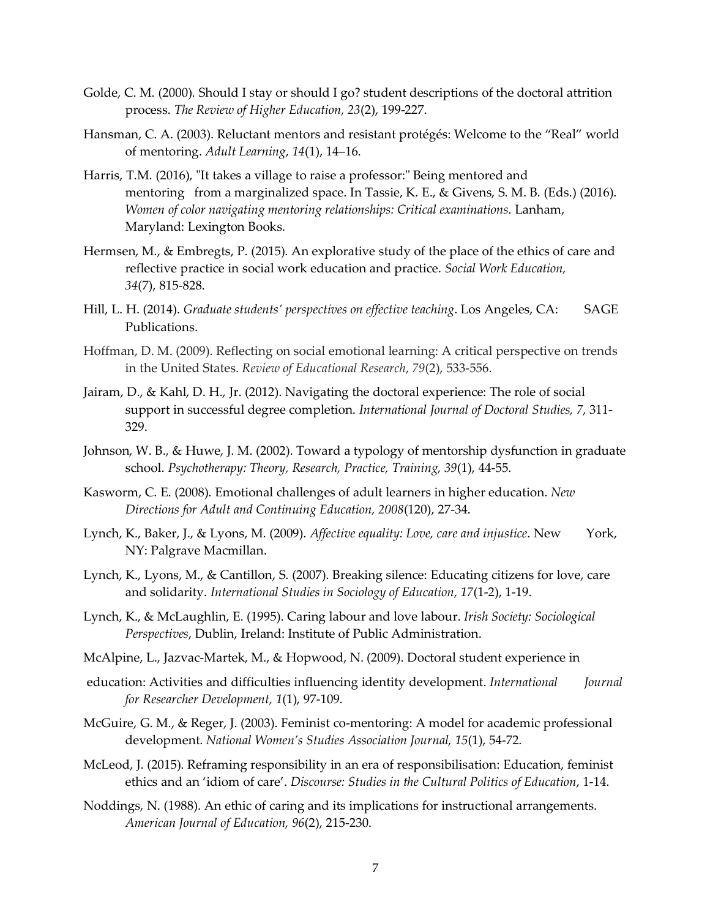- Golde, C. M. (2000). Should I stay or should I go? student descriptions of the doctoral attrition process. *The Review of Higher Education, 23*(2), 199-227.
- Hansman, C. A. (2003). Reluctant mentors and resistant protégés: Welcome to the "Real" world of mentoring. *Adult Learning*, *14*(1), 14–16.
- Harris, T.M. (2016), "It takes a village to raise a professor:" Being mentored and mentoring from a marginalized space. In Tassie, K. E., & Givens, S. M. B. (Eds.) (2016). *Women of color navigating mentoring relationships: Critical examinations*. Lanham, Maryland: Lexington Books.
- Hermsen, M., & Embregts, P. (2015). An explorative study of the place of the ethics of care and reflective practice in social work education and practice. *Social Work Education, 34*(7), 815-828.
- Hill, L. H. (2014). *Graduate students' perspectives on effective teaching*. Los Angeles, CA: SAGE Publications.
- Hoffman, D. M. (2009). Reflecting on social emotional learning: A critical perspective on trends in the United States. *Review of Educational Research*, *79*(2), 533-556.
- Jairam, D., & Kahl, D. H., Jr. (2012). Navigating the doctoral experience: The role of social support in successful degree completion. *International Journal of Doctoral Studies, 7*, 311- 329.
- Johnson, W. B., & Huwe, J. M. (2002). Toward a typology of mentorship dysfunction in graduate school. *Psychotherapy: Theory, Research, Practice, Training, 39*(1), 44-55.
- Kasworm, C. E. (2008). Emotional challenges of adult learners in higher education. *New Directions for Adult and Continuing Education, 2008*(120), 27-34.
- Lynch, K., Baker, J., & Lyons, M. (2009). *Affective equality: Love, care and injustice*. New York, NY: Palgrave Macmillan.
- Lynch, K., Lyons, M., & Cantillon, S. (2007). Breaking silence: Educating citizens for love, care and solidarity. *International Studies in Sociology of Education, 17*(1-2), 1-19.
- Lynch, K., & McLaughlin, E. (1995). Caring labour and love labour. *Irish Society: Sociological Perspectives*, Dublin, Ireland: Institute of Public Administration.
- McAlpine, L., Jazvac-Martek, M., & Hopwood, N. (2009). Doctoral student experience in
- education: Activities and difficulties influencing identity development. *International Journal for Researcher Development, 1*(1), 97-109.
- McGuire, G. M., & Reger, J. (2003). Feminist co-mentoring: A model for academic professional development. *National Women's Studies Association Journal, 15*(1), 54-72.
- McLeod, J. (2015). Reframing responsibility in an era of responsibilisation: Education, feminist ethics and an 'idiom of care'. *Discourse: Studies in the Cultural Politics of Education*, 1-14.
- Noddings, N. (1988). An ethic of caring and its implications for instructional arrangements. *American Journal of Education, 96*(2), 215-230.